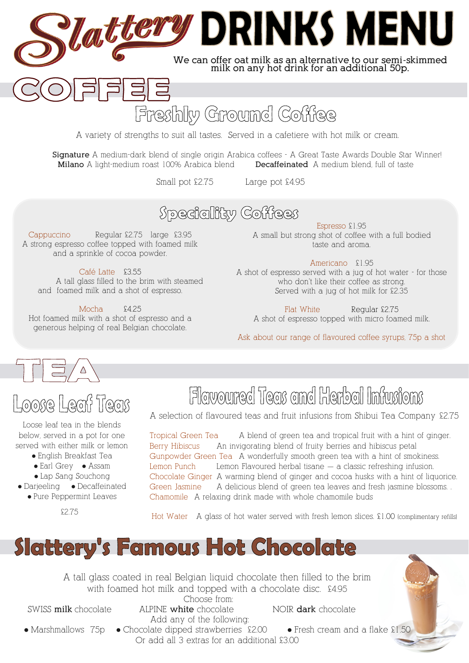# **Lattery DRINKS MENU**

**We can offer oat milk as an alternative to our semi-skimmed milk on any hot drink for an additional 50p.** 

### Freshly Ground Coffee

A variety of strengths to suit all tastes. Served in a cafetiere with hot milk or cream.

**Signature** A medium-dark blend of single origin Arabica coffees - A Great Taste Awards Double Star Winner! **Milano** A light-medium roast 100% Arabica blend **Decaffeinated** A medium blend, full of taste

Small pot £2.75 Large pot £4.95

### **Speciality Coffees**

Cappuccino Regular £2.75 large £3.95 A strong espresso coffee topped with foamed milk and a sprinkle of cocoa powder.

Café Latte £3.55 A tall glass filled to the brim with steamed and foamed milk and a shot of espresso.

 $\Box$ 

Mocha  $$4.25$ Hot foamed milk with a shot of espresso and a generous helping of real Belgian chocolate.

Espresso £1.95 A small but strong shot of coffee with a full bodied taste and aroma.

#### Americano £1.95

A shot of espresso served with a jug of hot water - for those who don't like their coffee as strong. Served with a jug of hot milk for £2.35

Flat White Regular £2.75 A shot of espresso topped with micro foamed milk.

Ask about our range of flavoured coffee syrups, 75p a shot



### Loose Leaf Teas

Loose leaf tea in the blends below, served in a pot for one served with either milk or lemon

- English Breakfast Tea
- Earl Grey Assam
- Lap Sang Souchong
- Darjeeling Decaffeinated ● Pure Peppermint Leaves

## Flowoured Teas and Herbal Infusions

A selection of flavoured teas and fruit infusions from Shibui Tea Company £2.75

Tropical Green Tea A blend of green tea and tropical fruit with a hint of ginger. Berry Hibiscus An invigorating blend of fruity berries and hibiscus petal Gunpowder Green Tea A wonderfully smooth green tea with a hint of smokiness. Lemon Punch Lemon Flavoured herbal tisane — a classic refreshing infusion. Chocolate Ginger A warming blend of ginger and cocoa husks with a hint of liquorice. Green Jasmine A delicious blend of green tea leaves and fresh jasmine blossoms. . Chamomile A relaxing drink made with whole chamomile buds

£2.75 Hot Water A glass of hot water served with fresh lemon slices. £1.00 (complimentary refills)



A tall glass coated in real Belgian liquid chocolate then filled to the brim with foamed hot milk and topped with a chocolate disc. £4.95

Choose from:

SWISS **milk** chocolate ALPINE **white** chocolate NOIR **dark** chocolate

Add any of the following: ● Marshmallows 75p ● Chocolate dipped strawberries £2.00 ● Fresh cream and a flake £1.50 Or add all 3 extras for an additional £3.00